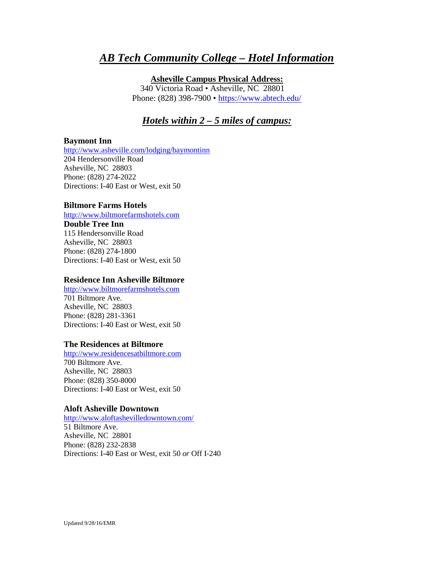# *AB Tech Community College – Hotel Information*

#### **Asheville Campus Physical Address:**

340 Victoria Road • Asheville, NC 28801 Phone: (828) 398-7900 •<https://www.abtech.edu/>

# *Hotels within 2 – 5 miles of campus:*

#### **Baymont Inn**

<http://www.asheville.com/lodging/baymontinn> 204 Hendersonville Road Asheville, NC 28803 Phone: (828) 274-2022 Directions: I-40 East or West, exit 50

#### **Biltmore Farms Hotels**

[http://www.biltmorefarmshotels.com](http://www.biltmorefarmshotels.com/) 

**Double Tree Inn** 115 Hendersonville Road Asheville, NC 28803 Phone: (828) 274-1800 Directions: I-40 East or West, exit 50

#### **Residence Inn Asheville Biltmore**

[http://www.biltmorefarmshotels.com](http://www.biltmorefarmshotels.com/) 701 Biltmore Ave. Asheville, NC 28803 Phone: (828) 281-3361 Directions: I-40 East or West, exit 50

#### **The Residences at Biltmore**

[http://www.residencesatbiltmore.com](http://www.residencesatbiltmore.com/) 700 Biltmore Ave. Asheville, NC 28803 Phone: (828) 350-8000 Directions: I-40 East or West, exit 50

#### **Aloft Asheville Downtown**

<http://www.aloftashevilledowntown.com/> 51 Biltmore Ave. Asheville, NC 28801 Phone: (828) 232-2838 Directions: I-40 East or West, exit 50 *or* Off I-240